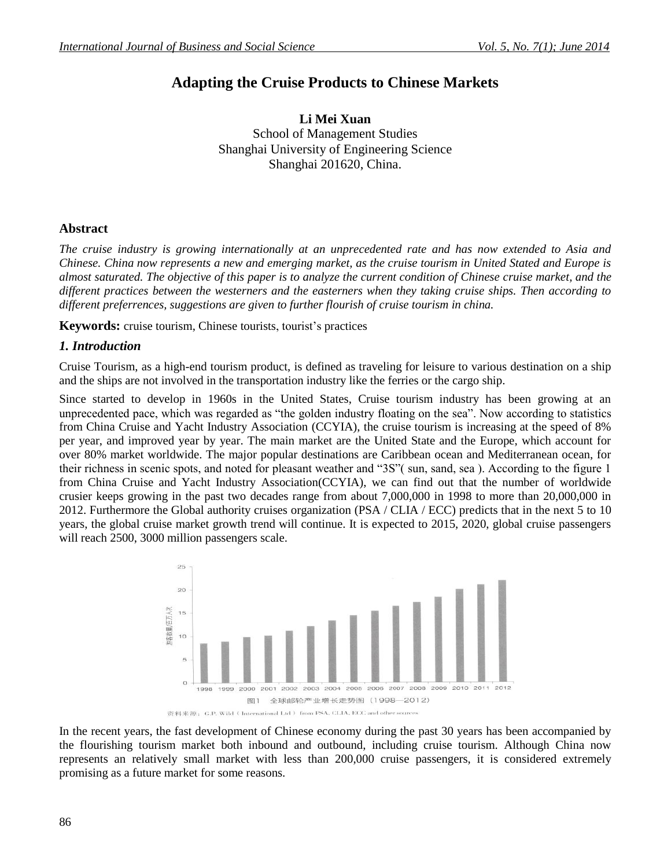# **Adapting the Cruise Products to Chinese Markets**

**Li Mei Xuan** School of Management Studies Shanghai University of Engineering Science Shanghai 201620, China.

# **Abstract**

*The cruise industry is growing internationally at an unprecedented rate and has now extended to Asia and Chinese. China now represents a new and emerging market, as the cruise tourism in United Stated and Europe is almost saturated. The objective of this paper is to analyze the current condition of Chinese cruise market, and the different practices between the westerners and the easterners when they taking cruise ships. Then according to different preferrences, suggestions are given to further flourish of cruise tourism in china.*

**Keywords:** cruise tourism, Chinese tourists, tourist's practices

# *1. Introduction*

Cruise Tourism, as a high-end tourism product, is defined as traveling for leisure to various destination on a ship and the ships are not involved in the transportation industry like the ferries or the cargo ship.

Since started to develop in 1960s in the United States, Cruise tourism industry has been growing at an unprecedented pace, which was regarded as "the golden industry floating on the sea". Now according to statistics from China Cruise and Yacht Industry Association (CCYIA), the cruise tourism is increasing at the speed of 8% per year, and improved year by year. The main market are the United State and the Europe, which account for over 80% market worldwide. The major popular destinations are Caribbean ocean and Mediterranean ocean, for their richness in scenic spots, and noted for pleasant weather and "3S"( sun, sand, sea ). According to the figure 1 from China Cruise and Yacht Industry Association(CCYIA), we can find out that the number of worldwide crusier keeps growing in the past two decades range from about 7,000,000 in 1998 to more than 20,000,000 in 2012. Furthermore the Global authority cruises organization (PSA / CLIA / ECC) predicts that in the next 5 to 10 years, the global cruise market growth trend will continue. It is expected to 2015, 2020, global cruise passengers will reach 2500, 3000 million passengers scale.



In the recent years, the fast development of Chinese economy during the past 30 years has been accompanied by the flourishing tourism market both inbound and outbound, including cruise tourism. Although China now represents an relatively small market with less than 200,000 cruise passengers, it is considered extremely promising as a future market for some reasons.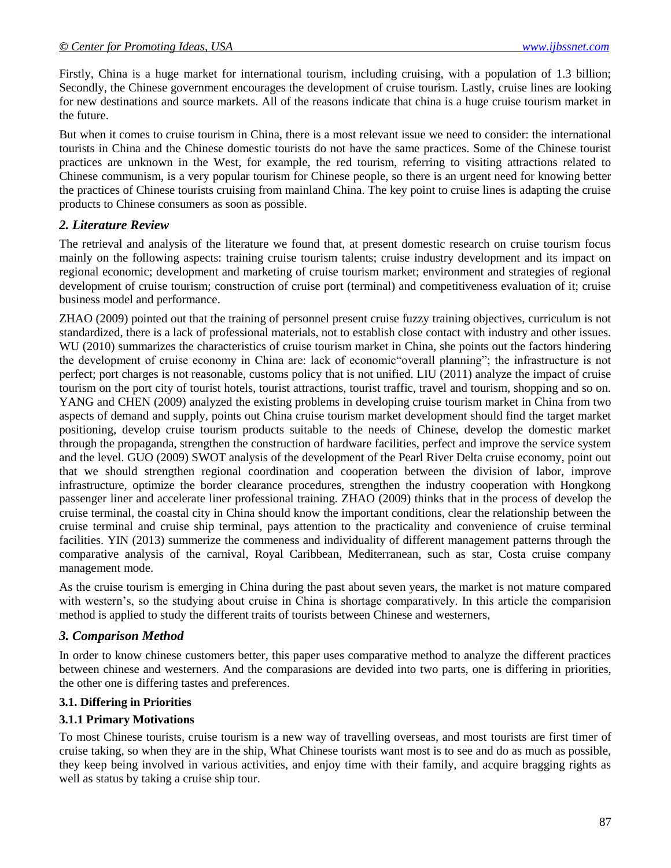Firstly, China is a huge market for international tourism, including cruising, with a population of 1.3 billion; Secondly, the Chinese government encourages the development of cruise tourism. Lastly, cruise lines are looking for new destinations and source markets. All of the reasons indicate that china is a huge cruise tourism market in the future.

But when it comes to cruise tourism in China, there is a most relevant issue we need to consider: the international tourists in China and the Chinese domestic tourists do not have the same practices. Some of the Chinese tourist practices are unknown in the West, for example, the red tourism, referring to visiting attractions related to Chinese communism, is a very popular tourism for Chinese people, so there is an urgent need for knowing better the practices of Chinese tourists cruising from mainland China. The key point to cruise lines is adapting the cruise products to Chinese consumers as soon as possible.

# *2. Literature Review*

The retrieval and analysis of the literature we found that, at present domestic research on cruise tourism focus mainly on the following aspects: training cruise tourism talents; cruise industry development and its impact on regional economic; development and marketing of cruise tourism market; environment and strategies of regional development of cruise tourism; construction of cruise port (terminal) and competitiveness evaluation of it; cruise business model and performance.

ZHAO (2009) pointed out that the training of personnel present cruise fuzzy training objectives, curriculum is not standardized, there is a lack of professional materials, not to establish close contact with industry and other issues. WU (2010) summarizes the characteristics of cruise tourism market in China, she points out the factors hindering the development of cruise economy in China are: lack of economic"overall planning"; the infrastructure is not perfect; port charges is not reasonable, customs policy that is not unified. LIU (2011) analyze the impact of cruise tourism on the port city of tourist hotels, tourist attractions, tourist traffic, travel and tourism, shopping and so on. YANG and CHEN (2009) analyzed the existing problems in developing cruise tourism market in China from two aspects of demand and supply, points out China cruise tourism market development should find the target market positioning, develop cruise tourism products suitable to the needs of Chinese, develop the domestic market through the propaganda, strengthen the construction of hardware facilities, perfect and improve the service system and the level. GUO (2009) SWOT analysis of the development of the Pearl River Delta cruise economy, point out that we should strengthen regional coordination and cooperation between the division of labor, improve infrastructure, optimize the border clearance procedures, strengthen the industry cooperation with Hongkong passenger liner and accelerate liner professional training. ZHAO (2009) thinks that in the process of develop the cruise terminal, the coastal city in China should know the important conditions, clear the relationship between the cruise terminal and cruise ship terminal, pays attention to the practicality and convenience of cruise terminal facilities. YIN (2013) summerize the commeness and individuality of different management patterns through the comparative analysis of the carnival, Royal Caribbean, Mediterranean, such as star, Costa cruise company management mode.

As the cruise tourism is emerging in China during the past about seven years, the market is not mature compared with western's, so the studying about cruise in China is shortage comparatively. In this article the comparision method is applied to study the different traits of tourists between Chinese and westerners,

## *3. Comparison Method*

In order to know chinese customers better, this paper uses comparative method to analyze the different practices between chinese and westerners. And the comparasions are devided into two parts, one is differing in priorities, the other one is differing tastes and preferences.

# **3.1. Differing in Priorities**

# **3.1.1 Primary Motivations**

To most Chinese tourists, cruise tourism is a new way of travelling overseas, and most tourists are first timer of cruise taking, so when they are in the ship, What Chinese tourists want most is to see and do as much as possible, they keep being involved in various activities, and enjoy time with their family, and acquire bragging rights as well as status by taking a cruise ship tour.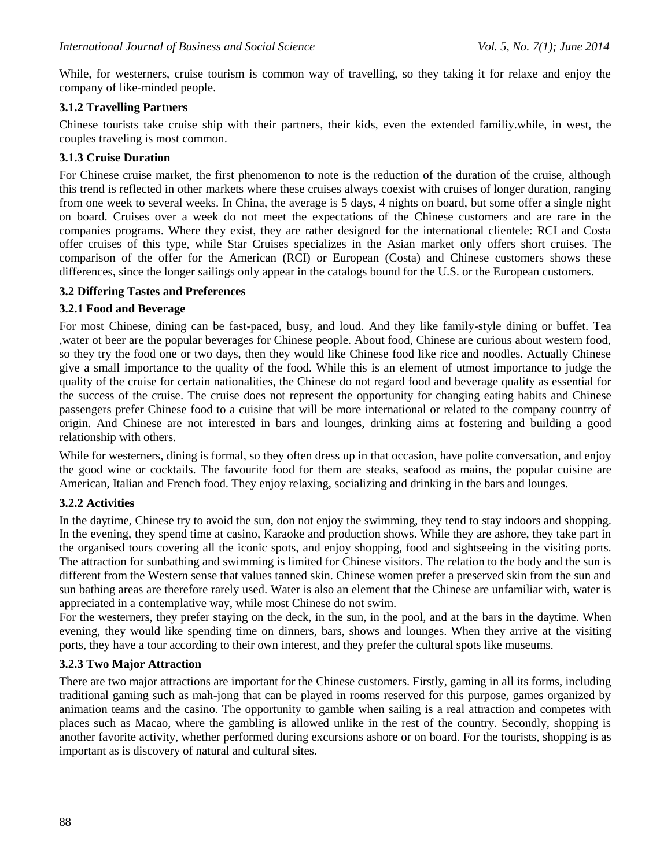While, for westerners, cruise tourism is common way of travelling, so they taking it for relaxe and enjoy the company of like-minded people.

# **3.1.2 Travelling Partners**

Chinese tourists take cruise ship with their partners, their kids, even the extended familiy.while, in west, the couples traveling is most common.

## **3.1.3 Cruise Duration**

For Chinese cruise market, the first phenomenon to note is the reduction of the duration of the cruise, although this trend is reflected in other markets where these cruises always coexist with cruises of longer duration, ranging from one week to several weeks. In China, the average is 5 days, 4 nights on board, but some offer a single night on board. Cruises over a week do not meet the expectations of the Chinese customers and are rare in the companies programs. Where they exist, they are rather designed for the international clientele: RCI and Costa offer cruises of this type, while Star Cruises specializes in the Asian market only offers short cruises. The comparison of the offer for the American (RCI) or European (Costa) and Chinese customers shows these differences, since the longer sailings only appear in the catalogs bound for the U.S. or the European customers.

## **3.2 Differing Tastes and Preferences**

## **3.2.1 Food and Beverage**

For most Chinese, dining can be fast-paced, busy, and loud. And they like family-style dining or buffet. Tea ,water ot beer are the popular beverages for Chinese people. About food, Chinese are curious about western food, so they try the food one or two days, then they would like Chinese food like rice and noodles. Actually Chinese give a small importance to the quality of the food. While this is an element of utmost importance to judge the quality of the cruise for certain nationalities, the Chinese do not regard food and beverage quality as essential for the success of the cruise. The cruise does not represent the opportunity for changing eating habits and Chinese passengers prefer Chinese food to a cuisine that will be more international or related to the company country of origin. And Chinese are not interested in bars and lounges, drinking aims at fostering and building a good relationship with others.

While for westerners, dining is formal, so they often dress up in that occasion, have polite conversation, and enjoy the good wine or cocktails. The favourite food for them are steaks, seafood as mains, the popular cuisine are American, Italian and French food. They enjoy relaxing, socializing and drinking in the bars and lounges.

## **3.2.2 Activities**

In the daytime, Chinese try to avoid the sun, don not enjoy the swimming, they tend to stay indoors and shopping. In the evening, they spend time at casino, Karaoke and production shows. While they are ashore, they take part in the organised tours covering all the iconic spots, and enjoy shopping, food and sightseeing in the visiting ports. The attraction for sunbathing and swimming is limited for Chinese visitors. The relation to the body and the sun is different from the Western sense that values tanned skin. Chinese women prefer a preserved skin from the sun and sun bathing areas are therefore rarely used. Water is also an element that the Chinese are unfamiliar with, water is appreciated in a contemplative way, while most Chinese do not swim.

For the westerners, they prefer staying on the deck, in the sun, in the pool, and at the bars in the daytime. When evening, they would like spending time on dinners, bars, shows and lounges. When they arrive at the visiting ports, they have a tour according to their own interest, and they prefer the cultural spots like museums.

## **3.2.3 Two Major Attraction**

There are two major attractions are important for the Chinese customers. Firstly, gaming in all its forms, including traditional gaming such as mah-jong that can be played in rooms reserved for this purpose, games organized by animation teams and the casino. The opportunity to gamble when sailing is a real attraction and competes with places such as Macao, where the gambling is allowed unlike in the rest of the country. Secondly, shopping is another favorite activity, whether performed during excursions ashore or on board. For the tourists, shopping is as important as is discovery of natural and cultural sites.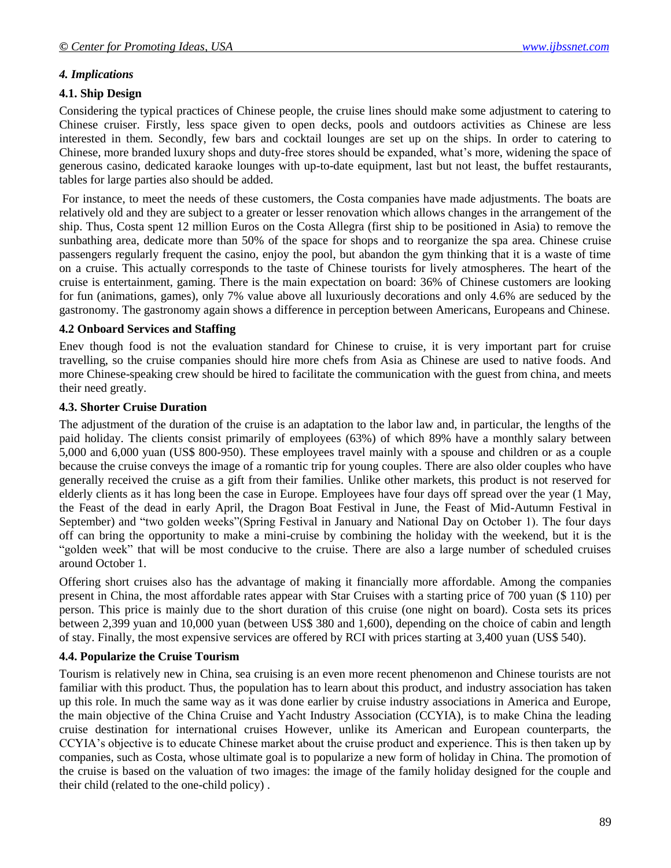## *4. Implications*

## **4.1. Ship Design**

Considering the typical practices of Chinese people, the cruise lines should make some adjustment to catering to Chinese cruiser. Firstly, less space given to open decks, pools and outdoors activities as Chinese are less interested in them. Secondly, few bars and cocktail lounges are set up on the ships. In order to catering to Chinese, more branded luxury shops and duty-free stores should be expanded, what's more, widening the space of generous casino, dedicated karaoke lounges with up-to-date equipment, last but not least, the buffet restaurants, tables for large parties also should be added.

For instance, to meet the needs of these customers, the Costa companies have made adjustments. The boats are relatively old and they are subject to a greater or lesser renovation which allows changes in the arrangement of the ship. Thus, Costa spent 12 million Euros on the Costa Allegra (first ship to be positioned in Asia) to remove the sunbathing area, dedicate more than 50% of the space for shops and to reorganize the spa area. Chinese cruise passengers regularly frequent the casino, enjoy the pool, but abandon the gym thinking that it is a waste of time on a cruise. This actually corresponds to the taste of Chinese tourists for lively atmospheres. The heart of the cruise is entertainment, gaming. There is the main expectation on board: 36% of Chinese customers are looking for fun (animations, games), only 7% value above all luxuriously decorations and only 4.6% are seduced by the gastronomy. The gastronomy again shows a difference in perception between Americans, Europeans and Chinese.

## **4.2 Onboard Services and Staffing**

Enev though food is not the evaluation standard for Chinese to cruise, it is very important part for cruise travelling, so the cruise companies should hire more chefs from Asia as Chinese are used to native foods. And more Chinese-speaking crew should be hired to facilitate the communication with the guest from china, and meets their need greatly.

#### **4.3. Shorter Cruise Duration**

The adjustment of the duration of the cruise is an adaptation to the labor law and, in particular, the lengths of the paid holiday. The clients consist primarily of employees (63%) of which 89% have a monthly salary between 5,000 and 6,000 yuan (US\$ 800-950). These employees travel mainly with a spouse and children or as a couple because the cruise conveys the image of a romantic trip for young couples. There are also older couples who have generally received the cruise as a gift from their families. Unlike other markets, this product is not reserved for elderly clients as it has long been the case in Europe. Employees have four days off spread over the year (1 May, the Feast of the dead in early April, the Dragon Boat Festival in June, the Feast of Mid-Autumn Festival in September) and "two golden weeks"(Spring Festival in January and National Day on October 1). The four days off can bring the opportunity to make a mini-cruise by combining the holiday with the weekend, but it is the "golden week" that will be most conducive to the cruise. There are also a large number of scheduled cruises around October 1.

Offering short cruises also has the advantage of making it financially more affordable. Among the companies present in China, the most affordable rates appear with Star Cruises with a starting price of 700 yuan (\$ 110) per person. This price is mainly due to the short duration of this cruise (one night on board). Costa sets its prices between 2,399 yuan and 10,000 yuan (between US\$ 380 and 1,600), depending on the choice of cabin and length of stay. Finally, the most expensive services are offered by RCI with prices starting at 3,400 yuan (US\$ 540).

## **4.4. Popularize the Cruise Tourism**

Tourism is relatively new in China, sea cruising is an even more recent phenomenon and Chinese tourists are not familiar with this product. Thus, the population has to learn about this product, and industry association has taken up this role. In much the same way as it was done earlier by cruise industry associations in America and Europe, the main objective of the China Cruise and Yacht Industry Association (CCYIA), is to make China the leading cruise destination for international cruises However, unlike its American and European counterparts, the CCYIA's objective is to educate Chinese market about the cruise product and experience. This is then taken up by companies, such as Costa, whose ultimate goal is to popularize a new form of holiday in China. The promotion of the cruise is based on the valuation of two images: the image of the family holiday designed for the couple and their child (related to the one-child policy) .